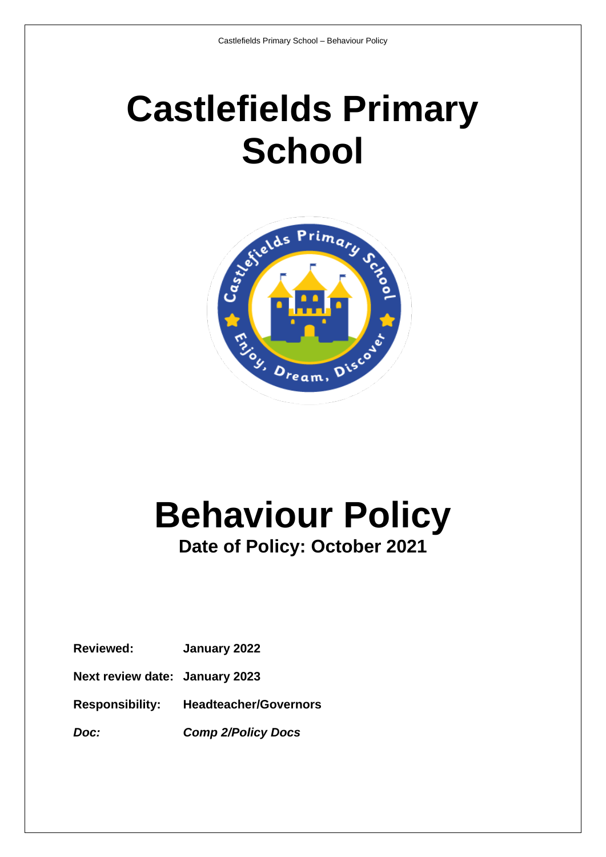## **Castlefields Primary School**



# **Behaviour Policy**

### **Date of Policy: October 2021**

**Reviewed: January 2022**

**Next review date: January 2023**

**Responsibility: Headteacher/Governors**

*Doc: Comp 2/Policy Docs*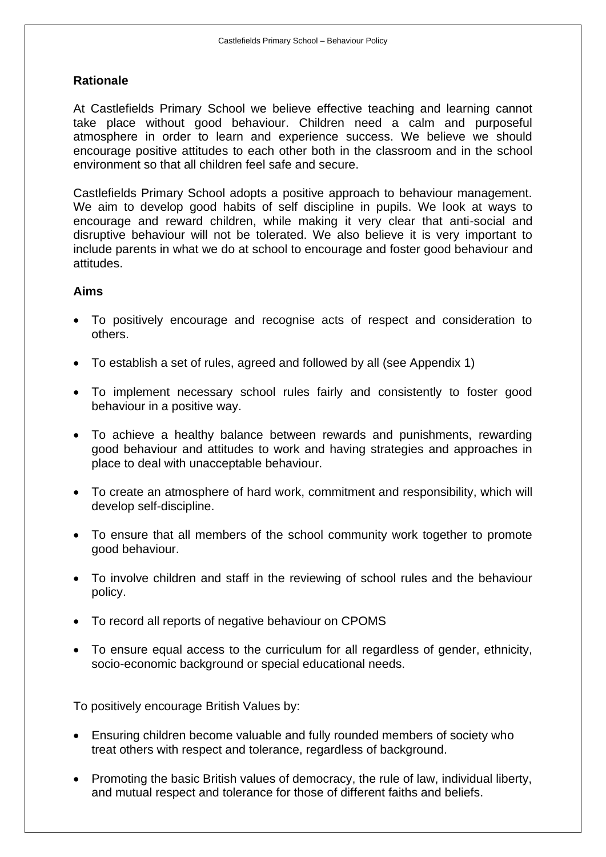#### **Rationale**

At Castlefields Primary School we believe effective teaching and learning cannot take place without good behaviour. Children need a calm and purposeful atmosphere in order to learn and experience success. We believe we should encourage positive attitudes to each other both in the classroom and in the school environment so that all children feel safe and secure.

Castlefields Primary School adopts a positive approach to behaviour management. We aim to develop good habits of self discipline in pupils. We look at ways to encourage and reward children, while making it very clear that anti-social and disruptive behaviour will not be tolerated. We also believe it is very important to include parents in what we do at school to encourage and foster good behaviour and attitudes.

#### **Aims**

- To positively encourage and recognise acts of respect and consideration to others.
- To establish a set of rules, agreed and followed by all (see Appendix 1)
- To implement necessary school rules fairly and consistently to foster good behaviour in a positive way.
- To achieve a healthy balance between rewards and punishments, rewarding good behaviour and attitudes to work and having strategies and approaches in place to deal with unacceptable behaviour.
- To create an atmosphere of hard work, commitment and responsibility, which will develop self-discipline.
- To ensure that all members of the school community work together to promote good behaviour.
- To involve children and staff in the reviewing of school rules and the behaviour policy.
- To record all reports of negative behaviour on CPOMS
- To ensure equal access to the curriculum for all regardless of gender, ethnicity, socio-economic background or special educational needs.

To positively encourage British Values by:

- Ensuring children become valuable and fully rounded members of society who treat others with respect and tolerance, regardless of background.
- Promoting the basic British values of democracy, the rule of law, individual liberty, and mutual respect and tolerance for those of different faiths and beliefs.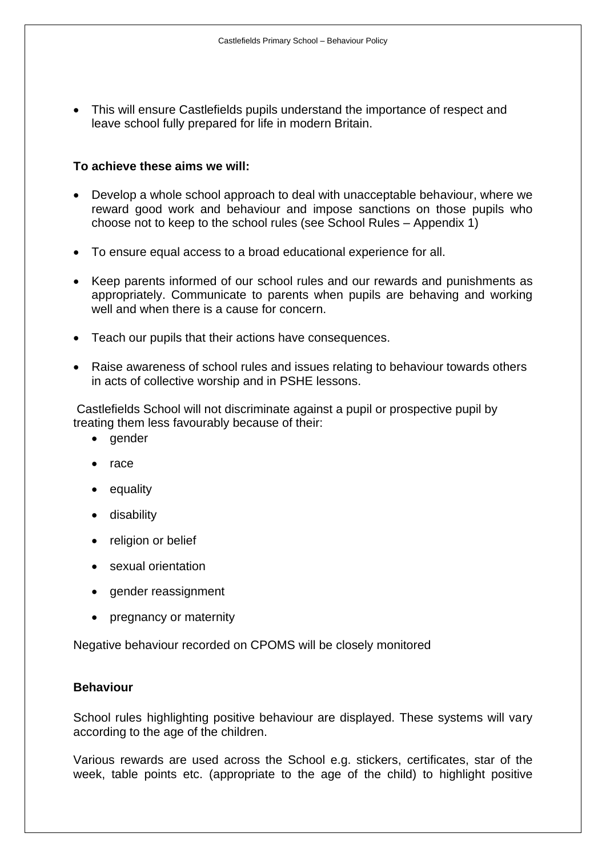• This will ensure Castlefields pupils understand the importance of respect and leave school fully prepared for life in modern Britain.

#### **To achieve these aims we will:**

- Develop a whole school approach to deal with unacceptable behaviour, where we reward good work and behaviour and impose sanctions on those pupils who choose not to keep to the school rules (see School Rules – Appendix 1)
- To ensure equal access to a broad educational experience for all.
- Keep parents informed of our school rules and our rewards and punishments as appropriately. Communicate to parents when pupils are behaving and working well and when there is a cause for concern.
- Teach our pupils that their actions have consequences.
- Raise awareness of school rules and issues relating to behaviour towards others in acts of collective worship and in PSHE lessons.

Castlefields School will not discriminate against a pupil or prospective pupil by treating them less favourably because of their:

- gender
- race
- equality
- disability
- religion or belief
- sexual orientation
- gender reassignment
- pregnancy or maternity

Negative behaviour recorded on CPOMS will be closely monitored

#### **Behaviour**

School rules highlighting positive behaviour are displayed. These systems will vary according to the age of the children.

Various rewards are used across the School e.g. stickers, certificates, star of the week, table points etc. (appropriate to the age of the child) to highlight positive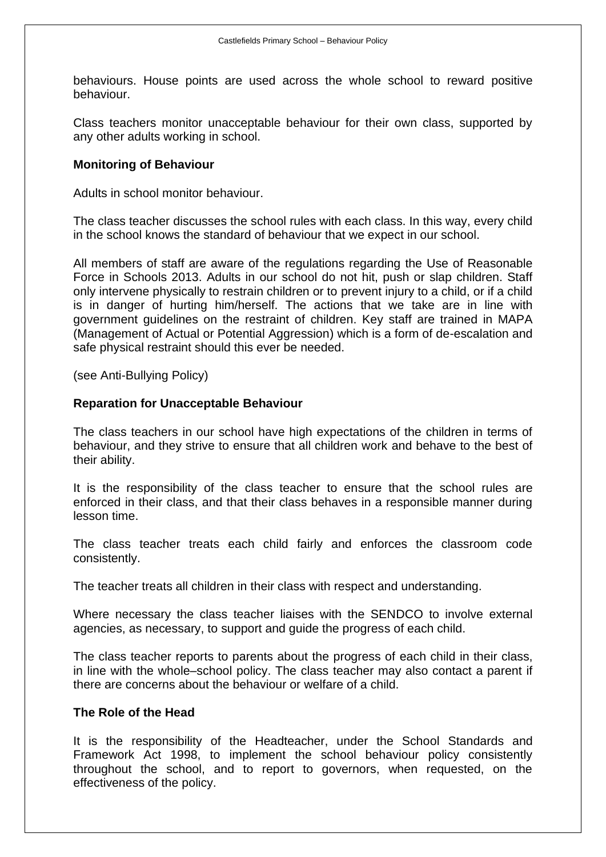behaviours. House points are used across the whole school to reward positive behaviour.

Class teachers monitor unacceptable behaviour for their own class, supported by any other adults working in school.

#### **Monitoring of Behaviour**

Adults in school monitor behaviour.

The class teacher discusses the school rules with each class. In this way, every child in the school knows the standard of behaviour that we expect in our school.

All members of staff are aware of the regulations regarding the Use of Reasonable Force in Schools 2013. Adults in our school do not hit, push or slap children. Staff only intervene physically to restrain children or to prevent injury to a child, or if a child is in danger of hurting him/herself. The actions that we take are in line with government guidelines on the restraint of children. Key staff are trained in MAPA (Management of Actual or Potential Aggression) which is a form of de-escalation and safe physical restraint should this ever be needed.

(see Anti-Bullying Policy)

#### **Reparation for Unacceptable Behaviour**

The class teachers in our school have high expectations of the children in terms of behaviour, and they strive to ensure that all children work and behave to the best of their ability.

It is the responsibility of the class teacher to ensure that the school rules are enforced in their class, and that their class behaves in a responsible manner during lesson time.

The class teacher treats each child fairly and enforces the classroom code consistently.

The teacher treats all children in their class with respect and understanding.

Where necessary the class teacher liaises with the SENDCO to involve external agencies, as necessary, to support and guide the progress of each child.

The class teacher reports to parents about the progress of each child in their class, in line with the whole–school policy. The class teacher may also contact a parent if there are concerns about the behaviour or welfare of a child.

#### **The Role of the Head**

It is the responsibility of the Headteacher, under the School Standards and Framework Act 1998, to implement the school behaviour policy consistently throughout the school, and to report to governors, when requested, on the effectiveness of the policy.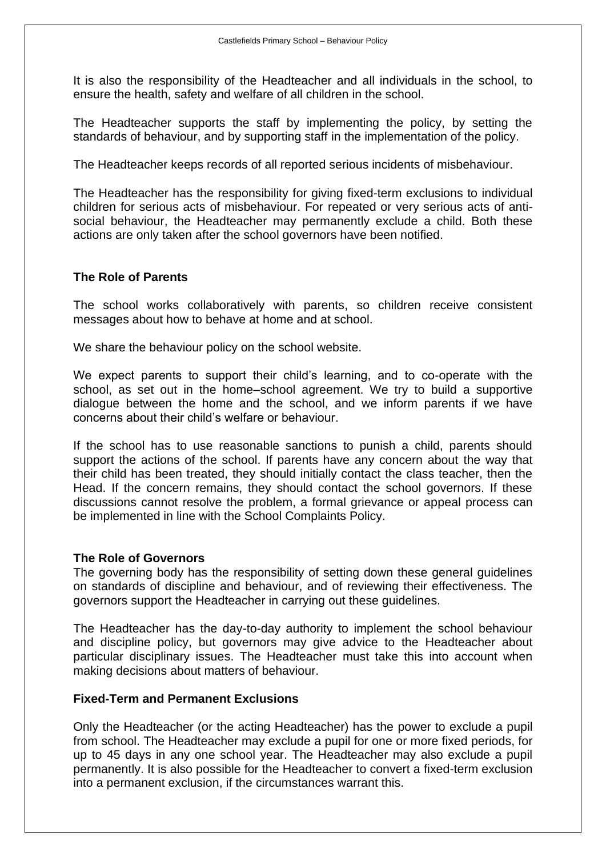It is also the responsibility of the Headteacher and all individuals in the school, to ensure the health, safety and welfare of all children in the school.

The Headteacher supports the staff by implementing the policy, by setting the standards of behaviour, and by supporting staff in the implementation of the policy.

The Headteacher keeps records of all reported serious incidents of misbehaviour.

The Headteacher has the responsibility for giving fixed-term exclusions to individual children for serious acts of misbehaviour. For repeated or very serious acts of antisocial behaviour, the Headteacher may permanently exclude a child. Both these actions are only taken after the school governors have been notified.

#### **The Role of Parents**

The school works collaboratively with parents, so children receive consistent messages about how to behave at home and at school.

We share the behaviour policy on the school website.

We expect parents to support their child's learning, and to co-operate with the school, as set out in the home–school agreement. We try to build a supportive dialogue between the home and the school, and we inform parents if we have concerns about their child's welfare or behaviour.

If the school has to use reasonable sanctions to punish a child, parents should support the actions of the school. If parents have any concern about the way that their child has been treated, they should initially contact the class teacher, then the Head. If the concern remains, they should contact the school governors. If these discussions cannot resolve the problem, a formal grievance or appeal process can be implemented in line with the School Complaints Policy.

#### **The Role of Governors**

The governing body has the responsibility of setting down these general guidelines on standards of discipline and behaviour, and of reviewing their effectiveness. The governors support the Headteacher in carrying out these guidelines.

The Headteacher has the day-to-day authority to implement the school behaviour and discipline policy, but governors may give advice to the Headteacher about particular disciplinary issues. The Headteacher must take this into account when making decisions about matters of behaviour.

#### **Fixed-Term and Permanent Exclusions**

Only the Headteacher (or the acting Headteacher) has the power to exclude a pupil from school. The Headteacher may exclude a pupil for one or more fixed periods, for up to 45 days in any one school year. The Headteacher may also exclude a pupil permanently. It is also possible for the Headteacher to convert a fixed-term exclusion into a permanent exclusion, if the circumstances warrant this.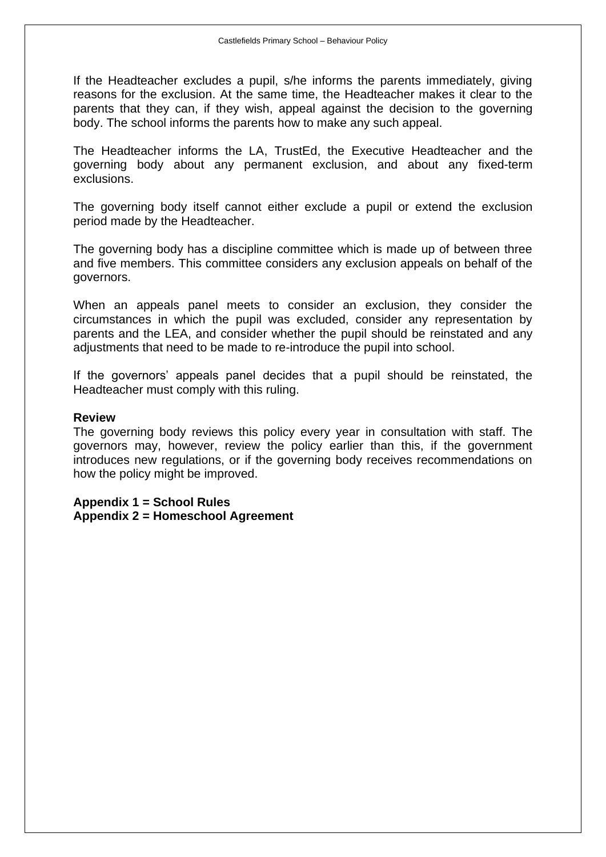If the Headteacher excludes a pupil, s/he informs the parents immediately, giving reasons for the exclusion. At the same time, the Headteacher makes it clear to the parents that they can, if they wish, appeal against the decision to the governing body. The school informs the parents how to make any such appeal.

The Headteacher informs the LA, TrustEd, the Executive Headteacher and the governing body about any permanent exclusion, and about any fixed-term exclusions.

The governing body itself cannot either exclude a pupil or extend the exclusion period made by the Headteacher.

The governing body has a discipline committee which is made up of between three and five members. This committee considers any exclusion appeals on behalf of the governors.

When an appeals panel meets to consider an exclusion, they consider the circumstances in which the pupil was excluded, consider any representation by parents and the LEA, and consider whether the pupil should be reinstated and any adjustments that need to be made to re-introduce the pupil into school.

If the governors' appeals panel decides that a pupil should be reinstated, the Headteacher must comply with this ruling.

#### **Review**

The governing body reviews this policy every year in consultation with staff. The governors may, however, review the policy earlier than this, if the government introduces new regulations, or if the governing body receives recommendations on how the policy might be improved.

**Appendix 1 = School Rules Appendix 2 = Homeschool Agreement**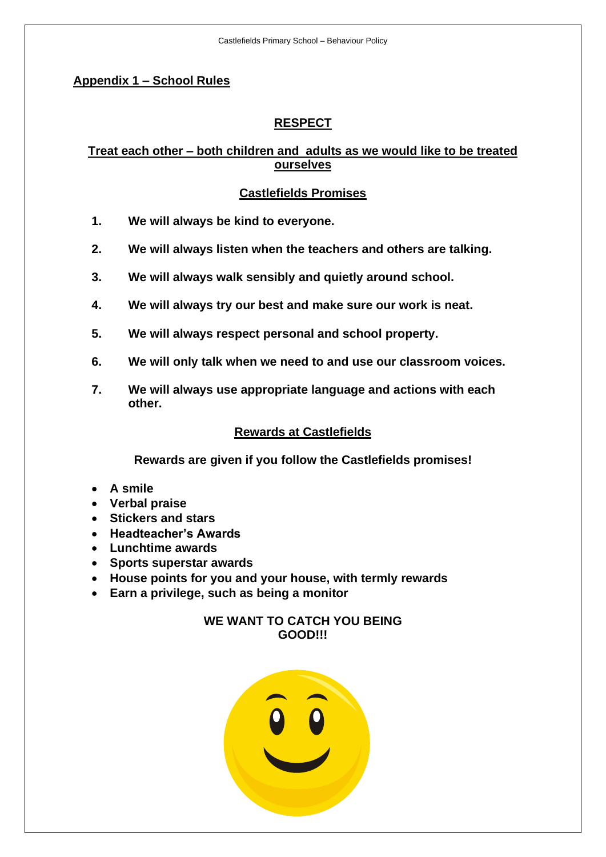#### **Appendix 1 – School Rules**

#### **RESPECT**

#### **Treat each other – both children and adults as we would like to be treated ourselves**

#### **Castlefields Promises**

- **1. We will always be kind to everyone.**
- **2. We will always listen when the teachers and others are talking.**
- **3. We will always walk sensibly and quietly around school.**
- **4. We will always try our best and make sure our work is neat.**
- **5. We will always respect personal and school property.**
- **6. We will only talk when we need to and use our classroom voices.**
- **7. We will always use appropriate language and actions with each other.**

#### **Rewards at Castlefields**

**Rewards are given if you follow the Castlefields promises!**

- **A smile**
- **Verbal praise**
- **Stickers and stars**
- **Headteacher's Awards**
- **Lunchtime awards**
- **Sports superstar awards**
- **House points for you and your house, with termly rewards**
- **Earn a privilege, such as being a monitor**

#### **WE WANT TO CATCH YOU BEING GOOD!!!**